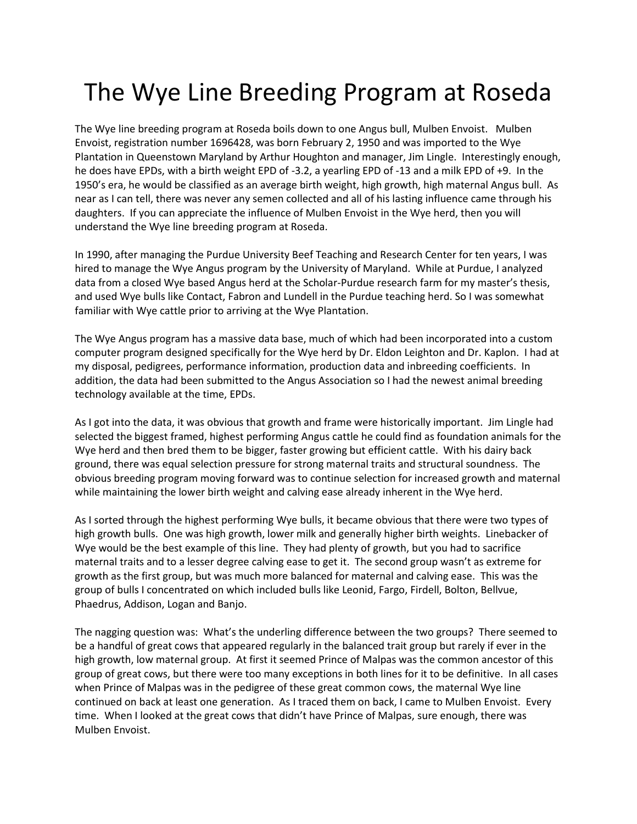## The Wye Line Breeding Program at Roseda

The Wye line breeding program at Roseda boils down to one Angus bull, Mulben Envoist. Mulben Envoist, registration number 1696428, was born February 2, 1950 and was imported to the Wye Plantation in Queenstown Maryland by Arthur Houghton and manager, Jim Lingle. Interestingly enough, he does have EPDs, with a birth weight EPD of -3.2, a yearling EPD of -13 and a milk EPD of +9. In the 1950's era, he would be classified as an average birth weight, high growth, high maternal Angus bull. As near as I can tell, there was never any semen collected and all of his lasting influence came through his daughters. If you can appreciate the influence of Mulben Envoist in the Wye herd, then you will understand the Wye line breeding program at Roseda.

In 1990, after managing the Purdue University Beef Teaching and Research Center for ten years, I was hired to manage the Wye Angus program by the University of Maryland. While at Purdue, I analyzed data from a closed Wye based Angus herd at the Scholar-Purdue research farm for my master's thesis, and used Wye bulls like Contact, Fabron and Lundell in the Purdue teaching herd. So I was somewhat familiar with Wye cattle prior to arriving at the Wye Plantation.

The Wye Angus program has a massive data base, much of which had been incorporated into a custom computer program designed specifically for the Wye herd by Dr. Eldon Leighton and Dr. Kaplon. I had at my disposal, pedigrees, performance information, production data and inbreeding coefficients. In addition, the data had been submitted to the Angus Association so I had the newest animal breeding technology available at the time, EPDs.

As I got into the data, it was obvious that growth and frame were historically important. Jim Lingle had selected the biggest framed, highest performing Angus cattle he could find as foundation animals for the Wye herd and then bred them to be bigger, faster growing but efficient cattle. With his dairy back ground, there was equal selection pressure for strong maternal traits and structural soundness. The obvious breeding program moving forward was to continue selection for increased growth and maternal while maintaining the lower birth weight and calving ease already inherent in the Wye herd.

As I sorted through the highest performing Wye bulls, it became obvious that there were two types of high growth bulls. One was high growth, lower milk and generally higher birth weights. Linebacker of Wye would be the best example of this line. They had plenty of growth, but you had to sacrifice maternal traits and to a lesser degree calving ease to get it. The second group wasn't as extreme for growth as the first group, but was much more balanced for maternal and calving ease. This was the group of bulls I concentrated on which included bulls like Leonid, Fargo, Firdell, Bolton, Bellvue, Phaedrus, Addison, Logan and Banjo.

The nagging question was: What's the underling difference between the two groups? There seemed to be a handful of great cows that appeared regularly in the balanced trait group but rarely if ever in the high growth, low maternal group. At first it seemed Prince of Malpas was the common ancestor of this group of great cows, but there were too many exceptions in both lines for it to be definitive. In all cases when Prince of Malpas was in the pedigree of these great common cows, the maternal Wye line continued on back at least one generation. As I traced them on back, I came to Mulben Envoist. Every time. When I looked at the great cows that didn't have Prince of Malpas, sure enough, there was Mulben Envoist.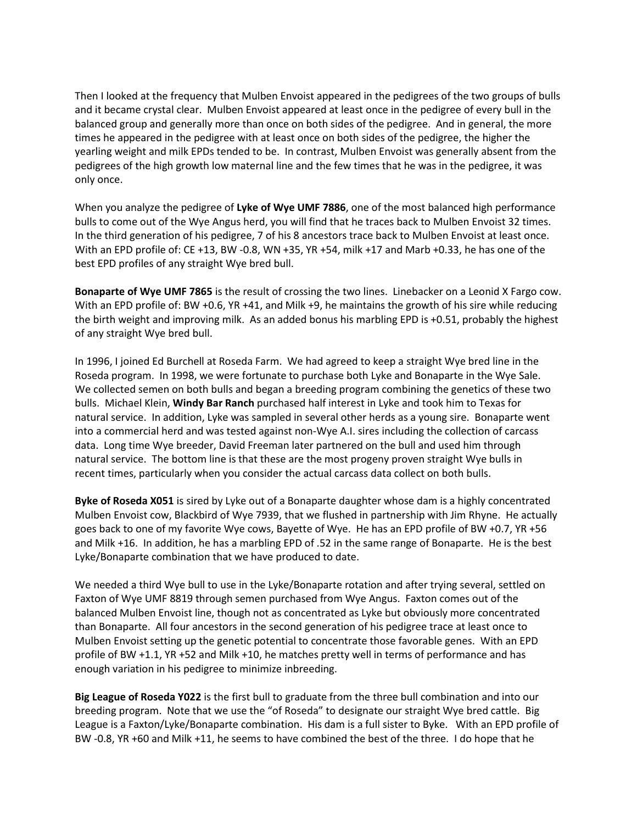Then I looked at the frequency that Mulben Envoist appeared in the pedigrees of the two groups of bulls and it became crystal clear. Mulben Envoist appeared at least once in the pedigree of every bull in the balanced group and generally more than once on both sides of the pedigree. And in general, the more times he appeared in the pedigree with at least once on both sides of the pedigree, the higher the yearling weight and milk EPDs tended to be. In contrast, Mulben Envoist was generally absent from the pedigrees of the high growth low maternal line and the few times that he was in the pedigree, it was only once.

When you analyze the pedigree of **[Lyke of Wye UMF 7886](http://www.roseda.com/RosedaFarm/herdsires/LykeofWyeUmf7886.html)**, one of the most balanced high performance bulls to come out of the Wye Angus herd, you will find that he traces back to Mulben Envoist 32 times. In the third generation of his pedigree, 7 of his 8 ancestors trace back to Mulben Envoist at least once. With an EPD profile of: CE +13, BW -0.8, WN +35, YR +54, milk +17 and Marb +0.33, he has one of the best EPD profiles of any straight Wye bred bull.

**[Bonaparte of Wye UMF 7865](http://www.roseda.com/RosedaFarm/herdsires/BonaparteofWyeUmf7865.html)** is the result of crossing the two lines. Linebacker on a Leonid X Fargo cow. With an EPD profile of: BW +0.6, YR +41, and Milk +9, he maintains the growth of his sire while reducing the birth weight and improving milk. As an added bonus his marbling EPD is +0.51, probably the highest of any straight Wye bred bull.

In 1996, I joined Ed Burchell at Roseda Farm. We had agreed to keep a straight Wye bred line in the Roseda program. In 1998, we were fortunate to purchase both Lyke and Bonaparte in the Wye Sale. We collected semen on both bulls and began a breeding program combining the genetics of these two bulls. Michael Klein, **[Windy Bar Ranch](http://www.windybarranch.com)** purchased half interest in Lyke and took him to Texas for natural service. In addition, Lyke was sampled in several other herds as a young sire. Bonaparte went into a commercial herd and was tested against non-Wye A.I. sires including the collection of carcass data. Long time Wye breeder, David Freeman later partnered on the bull and used him through natural service. The bottom line is that these are the most progeny proven straight Wye bulls in recent times, particularly when you consider the actual carcass data collect on both bulls.

**[Byke of Roseda X051](http://www.roseda.com/RosedaFarm/herdsires/BykeOfRosedaX051.html)** is sired by Lyke out of a Bonaparte daughter whose dam is a highly concentrated Mulben Envoist cow, Blackbird of Wye 7939, that we flushed in partnership with Jim Rhyne. He actually goes back to one of my favorite Wye cows, Bayette of Wye. He has an EPD profile of BW +0.7, YR +56 and Milk +16. In addition, he has a marbling EPD of .52 in the same range of Bonaparte. He is the best Lyke/Bonaparte combination that we have produced to date.

We needed a third Wye bull to use in the Lyke/Bonaparte rotation and after trying several, settled on Faxton of Wye UMF 8819 through semen purchased from Wye Angus. Faxton comes out of the balanced Mulben Envoist line, though not as concentrated as Lyke but obviously more concentrated than Bonaparte. All four ancestors in the second generation of his pedigree trace at least once to Mulben Envoist setting up the genetic potential to concentrate those favorable genes. With an EPD profile of BW +1.1, YR +52 and Milk +10, he matches pretty well in terms of performance and has enough variation in his pedigree to minimize inbreeding.

**[Big League of Roseda Y022](http://www.roseda.com/RosedaFarm/herdsires/BigLeagueRosedaY022.html)** is the first bull to graduate from the three bull combination and into our breeding program. Note that we use the "of Roseda" to designate our straight Wye bred cattle. Big League is a Faxton/Lyke/Bonaparte combination. His dam is a full sister to Byke. With an EPD profile of BW -0.8, YR +60 and Milk +11, he seems to have combined the best of the three. I do hope that he